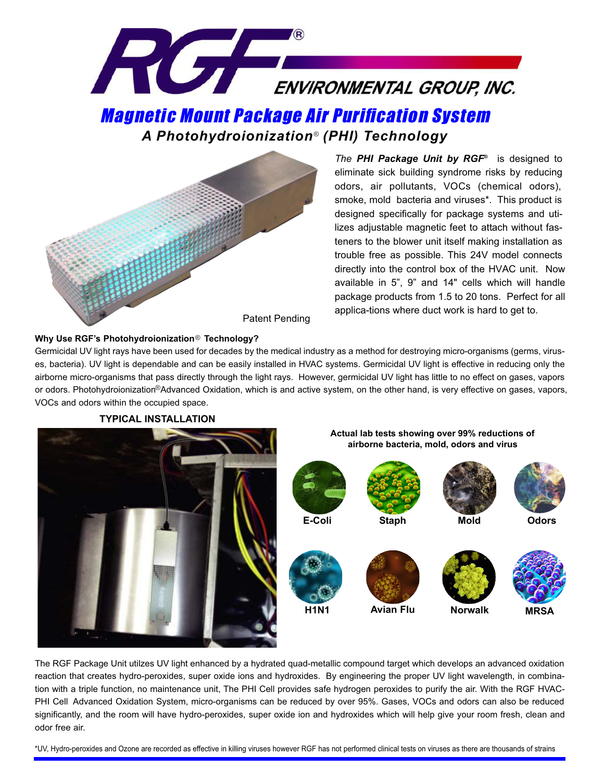

® *A Photohydroionization (PHI) Technology*



*The PHI Package Unit by RGF®* is designed to eliminate sick building syndrome risks by reducing odors, air pollutants, VOCs (chemical odors), smoke, mold bacteria and viruses\*. This product is designed specifically for package systems and utilizes adjustable magnetic feet to attach without fasteners to the blower unit itself making installation as trouble free as possible. This 24V model connects directly into the control box of the HVAC unit. Now available in 5", 9" and 14" cells which will handle package products from 1.5 to 20 tons. Perfect for all applica-tions where duct work is hard to get to.

## Why Use RGF's Photohydroionization® Technology?

or odors. Photohydroionization<sup>®</sup>Advanced Oxidation, which is and active system, on the other hand, is very effective on gases, vapors, Germicidal UV light rays have been used for decades by the medical industry as a method for destroying micro-organisms (germs, viruses, bacteria). UV light is dependable and can be easily installed in HVAC systems. Germicidal UV light is effective in reducing only the airborne micro-organisms that pass directly through the light rays. However, germicidal UV light has little to no effect on gases, vapors VOCs and odors within the occupied space.



The RGF Package Unit utilzes UV light enhanced by a hydrated quad-metallic compound target which develops an advanced oxidation reaction that creates hydro-peroxides, super oxide ions and hydroxides. By engineering the proper UV light wavelength, in combination with a triple function, no maintenance unit, The PHI Cell provides safe hydrogen peroxides to purify the air. With the RGF HVAC-PHI Cell Advanced Oxidation System, micro-organisms can be reduced by over 95%. Gases, VOCs and odors can also be reduced significantly, and the room will have hydro-peroxides, super oxide ion and hydroxides which will help give your room fresh, clean and odor free air.

\*UV, Hydro-peroxides and Ozone are recorded as effective in killing viruses however RGF has not performed clinical tests on viruses as there are thousands of strains